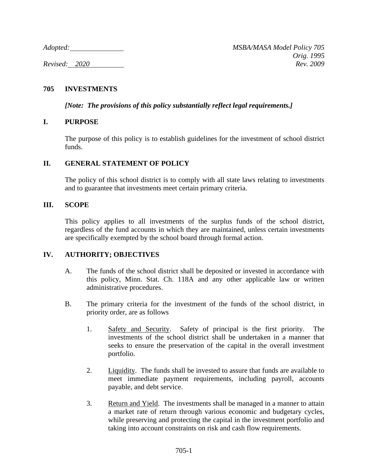*Adopted: MSBA/MASA Model Policy 705 Orig. 1995 Revised: 2020 Rev. 2009*

# **705 INVESTMENTS**

*[Note: The provisions of this policy substantially reflect legal requirements.]*

# **I. PURPOSE**

The purpose of this policy is to establish guidelines for the investment of school district funds.

# **II. GENERAL STATEMENT OF POLICY**

The policy of this school district is to comply with all state laws relating to investments and to guarantee that investments meet certain primary criteria.

# **III. SCOPE**

This policy applies to all investments of the surplus funds of the school district, regardless of the fund accounts in which they are maintained, unless certain investments are specifically exempted by the school board through formal action.

# **IV. AUTHORITY; OBJECTIVES**

- A. The funds of the school district shall be deposited or invested in accordance with this policy, Minn. Stat. Ch. 118A and any other applicable law or written administrative procedures.
- B. The primary criteria for the investment of the funds of the school district, in priority order, are as follows
	- 1. Safety and Security. Safety of principal is the first priority. The investments of the school district shall be undertaken in a manner that seeks to ensure the preservation of the capital in the overall investment portfolio.
	- 2. Liquidity. The funds shall be invested to assure that funds are available to meet immediate payment requirements, including payroll, accounts payable, and debt service.
	- 3. Return and Yield. The investments shall be managed in a manner to attain a market rate of return through various economic and budgetary cycles, while preserving and protecting the capital in the investment portfolio and taking into account constraints on risk and cash flow requirements.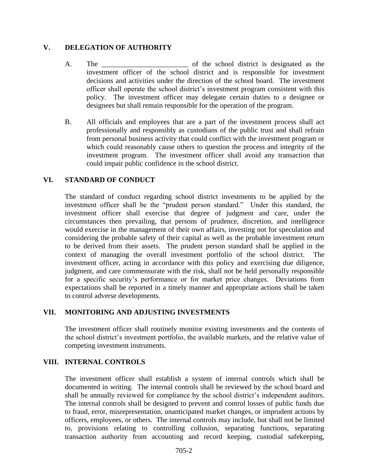# **V. DELEGATION OF AUTHORITY**

- A. The \_\_\_\_\_\_\_\_\_\_\_\_\_\_\_\_\_\_\_\_\_\_\_\_\_\_ of the school district is designated as the investment officer of the school district and is responsible for investment decisions and activities under the direction of the school board. The investment officer shall operate the school district's investment program consistent with this policy. The investment officer may delegate certain duties to a designee or designees but shall remain responsible for the operation of the program.
- B. All officials and employees that are a part of the investment process shall act professionally and responsibly as custodians of the public trust and shall refrain from personal business activity that could conflict with the investment program or which could reasonably cause others to question the process and integrity of the investment program. The investment officer shall avoid any transaction that could impair public confidence in the school district.

# **VI. STANDARD OF CONDUCT**

The standard of conduct regarding school district investments to be applied by the investment officer shall be the "prudent person standard." Under this standard, the investment officer shall exercise that degree of judgment and care, under the circumstances then prevailing, that persons of prudence, discretion, and intelligence would exercise in the management of their own affairs, investing not for speculation and considering the probable safety of their capital as well as the probable investment return to be derived from their assets. The prudent person standard shall be applied in the context of managing the overall investment portfolio of the school district. The investment officer, acting in accordance with this policy and exercising due diligence, judgment, and care commensurate with the risk, shall not be held personally responsible for a specific security's performance or for market price changes. Deviations from expectations shall be reported in a timely manner and appropriate actions shall be taken to control adverse developments.

# **VII. MONITORING AND ADJUSTING INVESTMENTS**

The investment officer shall routinely monitor existing investments and the contents of the school district's investment portfolio, the available markets, and the relative value of competing investment instruments.

# **VIII. INTERNAL CONTROLS**

The investment officer shall establish a system of internal controls which shall be documented in writing. The internal controls shall be reviewed by the school board and shall be annually reviewed for compliance by the school district's independent auditors. The internal controls shall be designed to prevent and control losses of public funds due to fraud, error, misrepresentation, unanticipated market changes, or imprudent actions by officers, employees, or others. The internal controls may include, but shall not be limited to, provisions relating to controlling collusion, separating functions, separating transaction authority from accounting and record keeping, custodial safekeeping,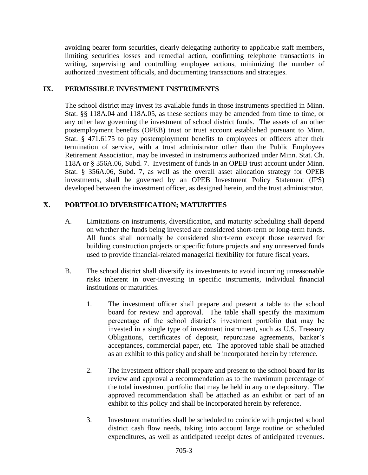avoiding bearer form securities, clearly delegating authority to applicable staff members, limiting securities losses and remedial action, confirming telephone transactions in writing, supervising and controlling employee actions, minimizing the number of authorized investment officials, and documenting transactions and strategies.

# **IX. PERMISSIBLE INVESTMENT INSTRUMENTS**

The school district may invest its available funds in those instruments specified in Minn. Stat. §§ 118A.04 and 118A.05, as these sections may be amended from time to time, or any other law governing the investment of school district funds. The assets of an other postemployment benefits (OPEB) trust or trust account established pursuant to Minn. Stat. § 471.6175 to pay postemployment benefits to employees or officers after their termination of service, with a trust administrator other than the Public Employees Retirement Association, may be invested in instruments authorized under Minn. Stat. Ch. 118A or § 356A.06, Subd. 7. Investment of funds in an OPEB trust account under Minn. Stat. § 356A.06, Subd. 7, as well as the overall asset allocation strategy for OPEB investments, shall be governed by an OPEB Investment Policy Statement (IPS) developed between the investment officer, as designed herein, and the trust administrator.

# **X. PORTFOLIO DIVERSIFICATION; MATURITIES**

- A. Limitations on instruments, diversification, and maturity scheduling shall depend on whether the funds being invested are considered short-term or long-term funds. All funds shall normally be considered short-term except those reserved for building construction projects or specific future projects and any unreserved funds used to provide financial-related managerial flexibility for future fiscal years.
- B. The school district shall diversify its investments to avoid incurring unreasonable risks inherent in over-investing in specific instruments, individual financial institutions or maturities.
	- 1. The investment officer shall prepare and present a table to the school board for review and approval. The table shall specify the maximum percentage of the school district's investment portfolio that may be invested in a single type of investment instrument, such as U.S. Treasury Obligations, certificates of deposit, repurchase agreements, banker's acceptances, commercial paper, etc. The approved table shall be attached as an exhibit to this policy and shall be incorporated herein by reference.
	- 2. The investment officer shall prepare and present to the school board for its review and approval a recommendation as to the maximum percentage of the total investment portfolio that may be held in any one depository. The approved recommendation shall be attached as an exhibit or part of an exhibit to this policy and shall be incorporated herein by reference.
	- 3. Investment maturities shall be scheduled to coincide with projected school district cash flow needs, taking into account large routine or scheduled expenditures, as well as anticipated receipt dates of anticipated revenues.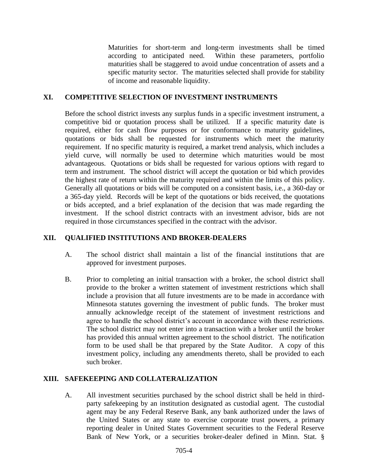Maturities for short-term and long-term investments shall be timed according to anticipated need. Within these parameters, portfolio maturities shall be staggered to avoid undue concentration of assets and a specific maturity sector. The maturities selected shall provide for stability of income and reasonable liquidity.

#### **XI. COMPETITIVE SELECTION OF INVESTMENT INSTRUMENTS**

Before the school district invests any surplus funds in a specific investment instrument, a competitive bid or quotation process shall be utilized. If a specific maturity date is required, either for cash flow purposes or for conformance to maturity guidelines, quotations or bids shall be requested for instruments which meet the maturity requirement. If no specific maturity is required, a market trend analysis, which includes a yield curve, will normally be used to determine which maturities would be most advantageous. Quotations or bids shall be requested for various options with regard to term and instrument. The school district will accept the quotation or bid which provides the highest rate of return within the maturity required and within the limits of this policy. Generally all quotations or bids will be computed on a consistent basis, i.e., a 360-day or a 365-day yield. Records will be kept of the quotations or bids received, the quotations or bids accepted, and a brief explanation of the decision that was made regarding the investment. If the school district contracts with an investment advisor, bids are not required in those circumstances specified in the contract with the advisor.

### **XII. QUALIFIED INSTITUTIONS AND BROKER-DEALERS**

- A. The school district shall maintain a list of the financial institutions that are approved for investment purposes.
- B. Prior to completing an initial transaction with a broker, the school district shall provide to the broker a written statement of investment restrictions which shall include a provision that all future investments are to be made in accordance with Minnesota statutes governing the investment of public funds. The broker must annually acknowledge receipt of the statement of investment restrictions and agree to handle the school district's account in accordance with these restrictions. The school district may not enter into a transaction with a broker until the broker has provided this annual written agreement to the school district. The notification form to be used shall be that prepared by the State Auditor. A copy of this investment policy, including any amendments thereto, shall be provided to each such broker.

#### **XIII. SAFEKEEPING AND COLLATERALIZATION**

A. All investment securities purchased by the school district shall be held in thirdparty safekeeping by an institution designated as custodial agent. The custodial agent may be any Federal Reserve Bank, any bank authorized under the laws of the United States or any state to exercise corporate trust powers, a primary reporting dealer in United States Government securities to the Federal Reserve Bank of New York, or a securities broker-dealer defined in Minn. Stat. §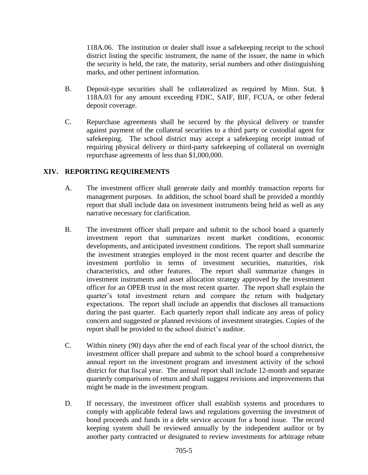118A.06. The institution or dealer shall issue a safekeeping receipt to the school district listing the specific instrument, the name of the issuer, the name in which the security is held, the rate, the maturity, serial numbers and other distinguishing marks, and other pertinent information.

- B. Deposit-type securities shall be collateralized as required by Minn. Stat. § 118A.03 for any amount exceeding FDIC, SAIF, BIF, FCUA, or other federal deposit coverage.
- C. Repurchase agreements shall be secured by the physical delivery or transfer against payment of the collateral securities to a third party or custodial agent for safekeeping. The school district may accept a safekeeping receipt instead of requiring physical delivery or third-party safekeeping of collateral on overnight repurchase agreements of less than \$1,000,000.

# **XIV. REPORTING REQUIREMENTS**

- A. The investment officer shall generate daily and monthly transaction reports for management purposes. In addition, the school board shall be provided a monthly report that shall include data on investment instruments being held as well as any narrative necessary for clarification.
- B. The investment officer shall prepare and submit to the school board a quarterly investment report that summarizes recent market conditions, economic developments, and anticipated investment conditions. The report shall summarize the investment strategies employed in the most recent quarter and describe the investment portfolio in terms of investment securities, maturities, risk characteristics, and other features. The report shall summarize changes in investment instruments and asset allocation strategy approved by the investment officer for an OPEB trust in the most recent quarter. The report shall explain the quarter's total investment return and compare the return with budgetary expectations. The report shall include an appendix that discloses all transactions during the past quarter. Each quarterly report shall indicate any areas of policy concern and suggested or planned revisions of investment strategies. Copies of the report shall be provided to the school district's auditor.
- C. Within ninety (90) days after the end of each fiscal year of the school district, the investment officer shall prepare and submit to the school board a comprehensive annual report on the investment program and investment activity of the school district for that fiscal year. The annual report shall include 12-month and separate quarterly comparisons of return and shall suggest revisions and improvements that might be made in the investment program.
- D. If necessary, the investment officer shall establish systems and procedures to comply with applicable federal laws and regulations governing the investment of bond proceeds and funds in a debt service account for a bond issue. The record keeping system shall be reviewed annually by the independent auditor or by another party contracted or designated to review investments for arbitrage rebate